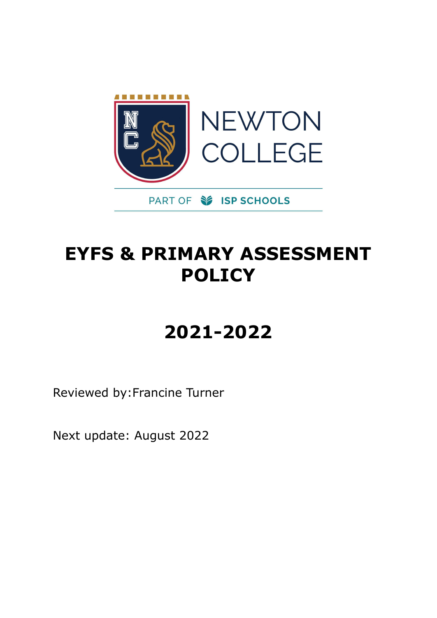

# **EYFS & PRIMARY ASSESSMENT POLICY**

# **2021-2022**

Reviewed by:Francine Turner

Next update: August 2022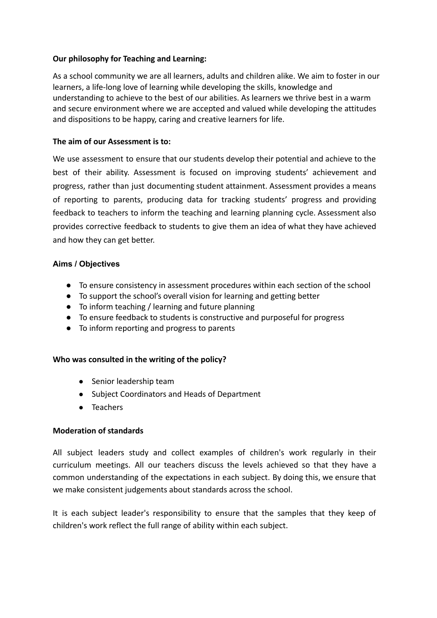# **Our philosophy for Teaching and Learning:**

As a school community we are all learners, adults and children alike. We aim to foster in our learners, a life-long love of learning while developing the skills, knowledge and understanding to achieve to the best of our abilities. As learners we thrive best in a warm and secure environment where we are accepted and valued while developing the attitudes and dispositions to be happy, caring and creative learners for life.

# **The aim of our Assessment is to:**

We use assessment to ensure that our students develop their potential and achieve to the best of their ability. Assessment is focused on improving students' achievement and progress, rather than just documenting student attainment. Assessment provides a means of reporting to parents, producing data for tracking students' progress and providing feedback to teachers to inform the teaching and learning planning cycle. Assessment also provides corrective feedback to students to give them an idea of what they have achieved and how they can get better.

# **Aims / Objectives**

- To ensure consistency in assessment procedures within each section of the school
- To support the school's overall vision for learning and getting better
- To inform teaching / learning and future planning
- To ensure feedback to students is constructive and purposeful for progress
- To inform reporting and progress to parents

# **Who was consulted in the writing of the policy?**

- Senior leadership team
- Subject Coordinators and Heads of Department
- Teachers

# **Moderation of standards**

All subject leaders study and collect examples of children's work regularly in their curriculum meetings. All our teachers discuss the levels achieved so that they have a common understanding of the expectations in each subject. By doing this, we ensure that we make consistent judgements about standards across the school.

It is each subject leader's responsibility to ensure that the samples that they keep of children's work reflect the full range of ability within each subject.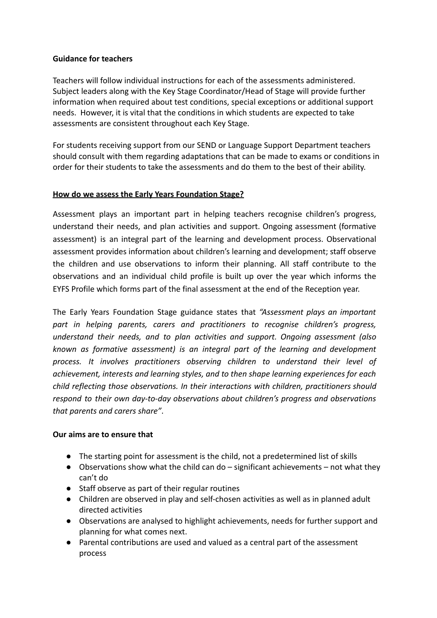# **Guidance for teachers**

Teachers will follow individual instructions for each of the assessments administered. Subject leaders along with the Key Stage Coordinator/Head of Stage will provide further information when required about test conditions, special exceptions or additional support needs. However, it is vital that the conditions in which students are expected to take assessments are consistent throughout each Key Stage.

For students receiving support from our SEND or Language Support Department teachers should consult with them regarding adaptations that can be made to exams or conditions in order for their students to take the assessments and do them to the best of their ability.

# **How do we assess the Early Years Foundation Stage?**

Assessment plays an important part in helping teachers recognise children's progress, understand their needs, and plan activities and support. Ongoing assessment (formative assessment) is an integral part of the learning and development process. Observational assessment provides information about children's learning and development; staff observe the children and use observations to inform their planning. All staff contribute to the observations and an individual child profile is built up over the year which informs the EYFS Profile which forms part of the final assessment at the end of the Reception year.

The Early Years Foundation Stage guidance states that *"Assessment plays an important part in helping parents, carers and practitioners to recognise children's progress, understand their needs, and to plan activities and support. Ongoing assessment (also known as formative assessment) is an integral part of the learning and development process. It involves practitioners observing children to understand their level of achievement, interests and learning styles, and to then shape learning experiences for each child reflecting those observations. In their interactions with children, practitioners should respond to their own day-to-day observations about children's progress and observations that parents and carers share"*.

#### **Our aims are to ensure that**

- The starting point for assessment is the child, not a predetermined list of skills
- $\bullet$  Observations show what the child can do significant achievements not what they can't do
- Staff observe as part of their regular routines
- Children are observed in play and self-chosen activities as well as in planned adult directed activities
- Observations are analysed to highlight achievements, needs for further support and planning for what comes next.
- Parental contributions are used and valued as a central part of the assessment process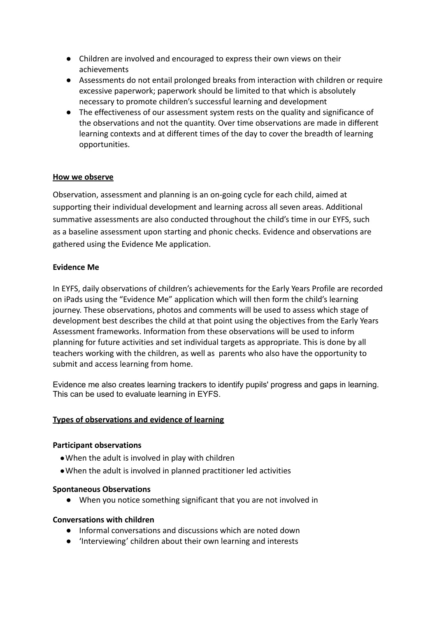- Children are involved and encouraged to express their own views on their achievements
- Assessments do not entail prolonged breaks from interaction with children or require excessive paperwork; paperwork should be limited to that which is absolutely necessary to promote children's successful learning and development
- The effectiveness of our assessment system rests on the quality and significance of the observations and not the quantity. Over time observations are made in different learning contexts and at different times of the day to cover the breadth of learning opportunities.

# **How we observe**

Observation, assessment and planning is an on-going cycle for each child, aimed at supporting their individual development and learning across all seven areas. Additional summative assessments are also conducted throughout the child's time in our EYFS, such as a baseline assessment upon starting and phonic checks. Evidence and observations are gathered using the Evidence Me application.

#### **Evidence Me**

In EYFS, daily observations of children's achievements for the Early Years Profile are recorded on iPads using the "Evidence Me" application which will then form the child's learning journey. These observations, photos and comments will be used to assess which stage of development best describes the child at that point using the objectives from the Early Years Assessment frameworks. Information from these observations will be used to inform planning for future activities and set individual targets as appropriate. This is done by all teachers working with the children, as well as parents who also have the opportunity to submit and access learning from home.

Evidence me also creates learning trackers to identify pupils' progress and gaps in learning. This can be used to evaluate learning in EYFS.

#### **Types of observations and evidence of learning**

#### **Participant observations**

- When the adult is involved in play with children
- ●When the adult is involved in planned practitioner led activities

#### **Spontaneous Observations**

● When you notice something significant that you are not involved in

#### **Conversations with children**

- Informal conversations and discussions which are noted down
- 'Interviewing' children about their own learning and interests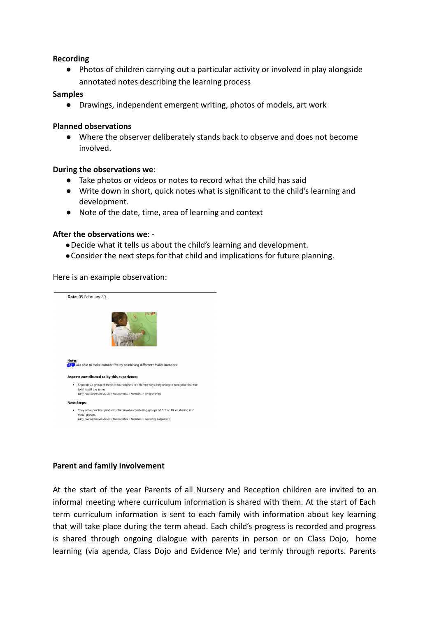#### **Recording**

● Photos of children carrying out a particular activity or involved in play alongside annotated notes describing the learning process

#### **Samples**

● Drawings, independent emergent writing, photos of models, art work

#### **Planned observations**

● Where the observer deliberately stands back to observe and does not become involved.

#### **During the observations we**:

- Take photos or videos or notes to record what the child has said
- Write down in short, quick notes what is significant to the child's learning and development.
- Note of the date, time, area of learning and context

#### **After the observations we**: -

- ●Decide what it tells us about the child's learning and development.
- ●Consider the next steps for that child and implications for future planning.

Here is an example observation:



#### **Parent and family involvement**

At the start of the year Parents of all Nursery and Reception children are invited to an informal meeting where curriculum information is shared with them. At the start of Each term curriculum information is sent to each family with information about key learning that will take place during the term ahead. Each child's progress is recorded and progress is shared through ongoing dialogue with parents in person or on Class Dojo, home learning (via agenda, Class Dojo and Evidence Me) and termly through reports. Parents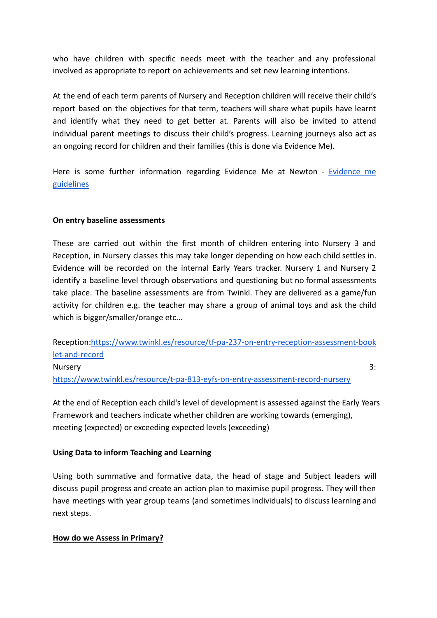who have children with specific needs meet with the teacher and any professional involved as appropriate to report on achievements and set new learning intentions.

At the end of each term parents of Nursery and Reception children will receive their child's report based on the objectives for that term, teachers will share what pupils have learnt and identify what they need to get better at. Parents will also be invited to attend individual parent meetings to discuss their child's progress. Learning journeys also act as an ongoing record for children and their families (this is done via Evidence Me).

Here is some further information regarding [Evidence](https://docs.google.com/document/d/1UFvlblhHPuUjAPd6egRVvC3UONUj9z52pSPTeMDkSj0/edit?usp=sharing) Me at Newton - Evidence me [guidelines](https://docs.google.com/document/d/1UFvlblhHPuUjAPd6egRVvC3UONUj9z52pSPTeMDkSj0/edit?usp=sharing)

# **On entry baseline assessments**

These are carried out within the first month of children entering into Nursery 3 and Reception, in Nursery classes this may take longer depending on how each child settles in. Evidence will be recorded on the internal Early Years tracker. Nursery 1 and Nursery 2 identify a baseline level through observations and questioning but no formal assessments take place. The baseline assessments are from Twinkl. They are delivered as a game/fun activity for children e.g. the teacher may share a group of animal toys and ask the child which is bigger/smaller/orange etc...

Reception[:https://www.twinkl.es/resource/tf-pa-237-on-entry-reception-assessment-book](https://www.twinkl.es/resource/tf-pa-237-on-entry-reception-assessment-booklet-and-record) [let-and-record](https://www.twinkl.es/resource/tf-pa-237-on-entry-reception-assessment-booklet-and-record) Nursery 3: <https://www.twinkl.es/resource/t-pa-813-eyfs-on-entry-assessment-record-nursery>

At the end of Reception each child's level of development is assessed against the Early Years Framework and teachers indicate whether children are working towards (emerging), meeting (expected) or exceeding expected levels (exceeding)

#### **Using Data to inform Teaching and Learning**

Using both summative and formative data, the head of stage and Subject leaders will discuss pupil progress and create an action plan to maximise pupil progress. They will then have meetings with year group teams (and sometimes individuals) to discuss learning and next steps.

#### **How do we Assess in Primary?**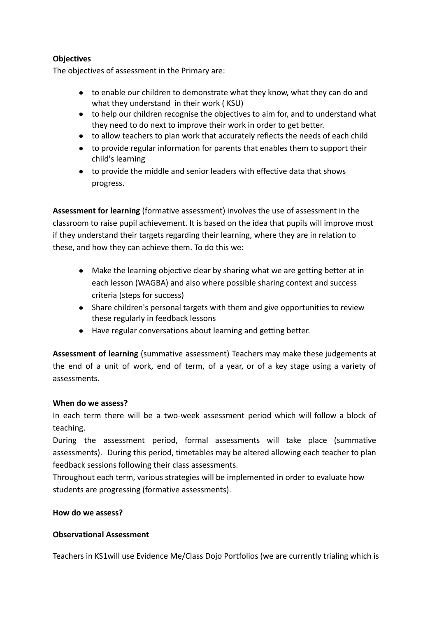# **Objectives**

The objectives of assessment in the Primary are:

- to enable our children to demonstrate what they know, what they can do and what they understand in their work ( KSU)
- to help our children recognise the objectives to aim for, and to understand what they need to do next to improve their work in order to get better.
- to allow teachers to plan work that accurately reflects the needs of each child
- to provide regular information for parents that enables them to support their child's learning
- to provide the middle and senior leaders with effective data that shows progress.

**Assessment for learning** (formative assessment) involves the use of assessment in the classroom to raise pupil achievement. It is based on the idea that pupils will improve most if they understand their targets regarding their learning, where they are in relation to these, and how they can achieve them. To do this we:

- Make the learning objective clear by sharing what we are getting better at in each lesson (WAGBA) and also where possible sharing context and success criteria (steps for success)
- Share children's personal targets with them and give opportunities to review these regularly in feedback lessons
- Have regular conversations about learning and getting better.

**Assessment of learning** (summative assessment) Teachers may make these judgements at the end of a unit of work, end of term, of a year, or of a key stage using a variety of assessments.

#### **When do we assess?**

In each term there will be a two-week assessment period which will follow a block of teaching.

During the assessment period, formal assessments will take place (summative assessments). During this period, timetables may be altered allowing each teacher to plan feedback sessions following their class assessments.

Throughout each term, various strategies will be implemented in order to evaluate how students are progressing (formative assessments).

# **How do we assess?**

# **Observational Assessment**

Teachers in KS1will use Evidence Me/Class Dojo Portfolios (we are currently trialing which is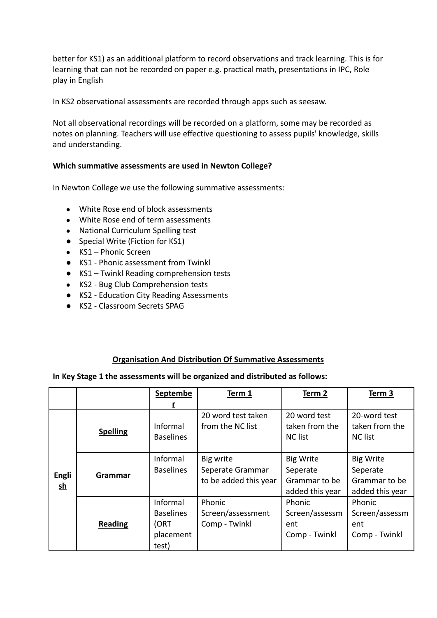better for KS1) as an additional platform to record observations and track learning. This is for learning that can not be recorded on paper e.g. practical math, presentations in IPC, Role play in English

In KS2 observational assessments are recorded through apps such as seesaw.

Not all observational recordings will be recorded on a platform, some may be recorded as notes on planning. Teachers will use effective questioning to assess pupils' knowledge, skills and understanding.

# **Which summative assessments are used in Newton College?**

In Newton College we use the following summative assessments:

- White Rose end of block assessments
- White Rose end of term assessments
- National Curriculum Spelling test
- Special Write (Fiction for KS1)
- KS1 Phonic Screen
- KS1 Phonic assessment from Twinkl
- KS1 Twinkl Reading comprehension tests
- KS2 Bug Club Comprehension tests
- KS2 Education City Reading Assessments
- KS2 Classroom Secrets SPAG

# **Organisation And Distribution Of Summative Assessments**

#### **In Key Stage 1 the assessments will be organized and distributed as follows:**

|                                    |                 | Septembe                                                   | Term 1                                                 | Term 2                                                           | Term 3                                                           |
|------------------------------------|-----------------|------------------------------------------------------------|--------------------------------------------------------|------------------------------------------------------------------|------------------------------------------------------------------|
|                                    |                 |                                                            |                                                        |                                                                  |                                                                  |
| Engli<br>$\underline{\mathsf{sh}}$ | <b>Spelling</b> | Informal<br><b>Baselines</b>                               | 20 word test taken<br>from the NC list                 | 20 word test<br>taken from the<br><b>NC list</b>                 | 20-word test<br>taken from the<br><b>NC list</b>                 |
|                                    | Grammar         | Informal<br><b>Baselines</b>                               | Big write<br>Seperate Grammar<br>to be added this year | <b>Big Write</b><br>Seperate<br>Grammar to be<br>added this year | <b>Big Write</b><br>Seperate<br>Grammar to be<br>added this year |
|                                    | <b>Reading</b>  | Informal<br><b>Baselines</b><br>(ORT<br>placement<br>test) | Phonic<br>Screen/assessment<br>Comp - Twinkl           | Phonic<br>Screen/assessm<br>ent<br>Comp - Twinkl                 | Phonic<br>Screen/assessm<br>ent<br>Comp - Twinkl                 |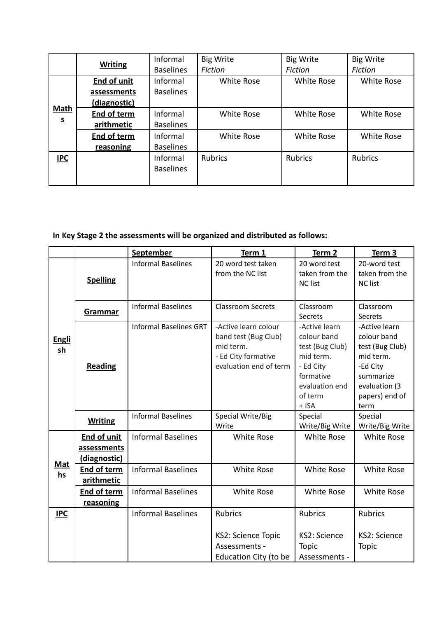|                                         | <b>Writing</b>     | Informal         | <b>Big Write</b>  | <b>Big Write</b>  | <b>Big Write</b>  |
|-----------------------------------------|--------------------|------------------|-------------------|-------------------|-------------------|
|                                         |                    | <b>Baselines</b> | Fiction           | <b>Fiction</b>    | <b>Fiction</b>    |
| <b>Math</b><br>$\underline{\mathsf{S}}$ | <b>End of unit</b> | Informal         | <b>White Rose</b> | <b>White Rose</b> | White Rose        |
|                                         | assessments        | <b>Baselines</b> |                   |                   |                   |
|                                         | (diagnostic)       |                  |                   |                   |                   |
|                                         | End of term        | Informal         | <b>White Rose</b> | <b>White Rose</b> | <b>White Rose</b> |
|                                         | arithmetic         | <b>Baselines</b> |                   |                   |                   |
|                                         | <b>End of term</b> | Informal         | <b>White Rose</b> | <b>White Rose</b> | <b>White Rose</b> |
|                                         | reasoning          | <b>Baselines</b> |                   |                   |                   |
| <b>IPC</b>                              |                    | Informal         | <b>Rubrics</b>    | <b>Rubrics</b>    | <b>Rubrics</b>    |
|                                         |                    | <b>Baselines</b> |                   |                   |                   |
|                                         |                    |                  |                   |                   |                   |

# **In Key Stage 2 the assessments will be organized and distributed as follows:**

|                               |                                                   | <b>September</b>              | Term 1                                                                                                     | Term 2                                                                                                                         | Term 3                                                                                                                           |
|-------------------------------|---------------------------------------------------|-------------------------------|------------------------------------------------------------------------------------------------------------|--------------------------------------------------------------------------------------------------------------------------------|----------------------------------------------------------------------------------------------------------------------------------|
| <b>Engli</b><br>$\mathbf{sh}$ | <b>Spelling</b>                                   | <b>Informal Baselines</b>     | 20 word test taken<br>from the NC list                                                                     | 20 word test<br>taken from the<br><b>NC list</b>                                                                               | 20-word test<br>taken from the<br><b>NC list</b>                                                                                 |
|                               | Grammar                                           | <b>Informal Baselines</b>     | <b>Classroom Secrets</b>                                                                                   | Classroom<br>Secrets                                                                                                           | Classroom<br>Secrets                                                                                                             |
|                               | Reading                                           | <b>Informal Baselines GRT</b> | -Active learn colour<br>band test (Bug Club)<br>mid term.<br>- Ed City formative<br>evaluation end of term | -Active learn<br>colour band<br>test (Bug Club)<br>mid term.<br>- Ed City<br>formative<br>evaluation end<br>of term<br>$+$ ISA | -Active learn<br>colour band<br>test (Bug Club)<br>mid term.<br>-Ed City<br>summarize<br>evaluation (3<br>papers) end of<br>term |
|                               | <b>Writing</b>                                    | <b>Informal Baselines</b>     | Special Write/Big<br>Write                                                                                 | Special<br>Write/Big Write                                                                                                     | Special<br>Write/Big Write                                                                                                       |
| <b>Mat</b><br>$hs$            | <b>End of unit</b><br>assessments<br>(diagnostic) | <b>Informal Baselines</b>     | White Rose                                                                                                 | <b>White Rose</b>                                                                                                              | <b>White Rose</b>                                                                                                                |
|                               | End of term<br>arithmetic                         | <b>Informal Baselines</b>     | White Rose                                                                                                 | <b>White Rose</b>                                                                                                              | <b>White Rose</b>                                                                                                                |
|                               | <b>End of term</b><br>reasoning                   | <b>Informal Baselines</b>     | White Rose                                                                                                 | <b>White Rose</b>                                                                                                              | <b>White Rose</b>                                                                                                                |
| <b>IPC</b>                    |                                                   | <b>Informal Baselines</b>     | <b>Rubrics</b><br>KS2: Science Topic<br>Assessments -                                                      | <b>Rubrics</b><br>KS2: Science<br><b>Topic</b>                                                                                 | <b>Rubrics</b><br>KS2: Science<br><b>Topic</b>                                                                                   |
|                               |                                                   |                               | Education City (to be                                                                                      | Assessments -                                                                                                                  |                                                                                                                                  |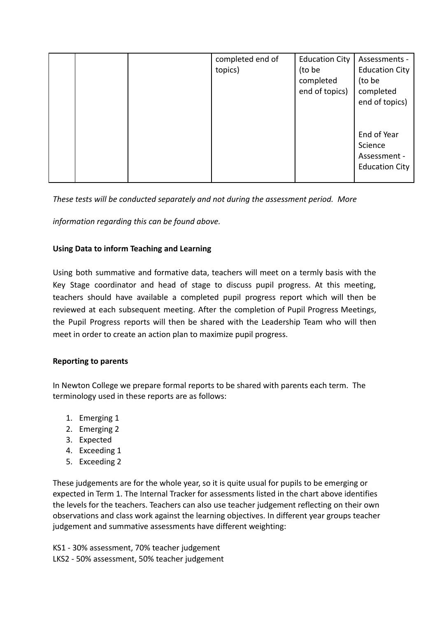|  | completed end of<br>topics) | <b>Education City</b><br>(to be<br>completed<br>end of topics) | Assessments -<br><b>Education City</b><br>(to be<br>completed<br>end of topics) |
|--|-----------------------------|----------------------------------------------------------------|---------------------------------------------------------------------------------|
|  |                             |                                                                | End of Year<br>Science<br>Assessment -<br><b>Education City</b>                 |

*These tests will be conducted separately and not during the assessment period. More*

*information regarding this can be found above.*

# **Using Data to inform Teaching and Learning**

Using both summative and formative data, teachers will meet on a termly basis with the Key Stage coordinator and head of stage to discuss pupil progress. At this meeting, teachers should have available a completed pupil progress report which will then be reviewed at each subsequent meeting. After the completion of Pupil Progress Meetings, the Pupil Progress reports will then be shared with the Leadership Team who will then meet in order to create an action plan to maximize pupil progress.

#### **Reporting to parents**

In Newton College we prepare formal reports to be shared with parents each term. The terminology used in these reports are as follows:

- 1. Emerging 1
- 2. Emerging 2
- 3. Expected
- 4. Exceeding 1
- 5. Exceeding 2

These judgements are for the whole year, so it is quite usual for pupils to be emerging or expected in Term 1. The Internal Tracker for assessments listed in the chart above identifies the levels for the teachers. Teachers can also use teacher judgement reflecting on their own observations and class work against the learning objectives. In different year groups teacher judgement and summative assessments have different weighting:

KS1 - 30% assessment, 70% teacher judgement LKS2 - 50% assessment, 50% teacher judgement